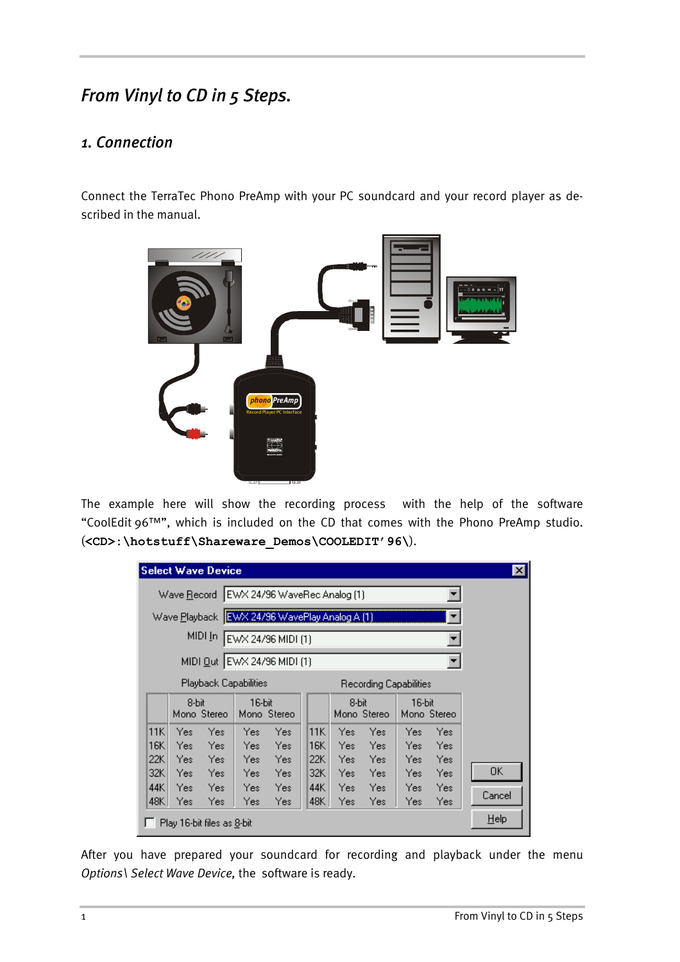# *From Vinyl to CD in 5 Steps.*

#### *1. Connection*

Connect the TerraTec Phono PreAmp with your PC soundcard and your record player as described in the manual.



The example here will show the recording process with the help of the software "CoolEdit 96™", which is included on the CD that comes with the Phono PreAmp studio. (**<CD>:\hotstuff\Shareware\_Demos\COOLEDIT'96\**).

|                                                 |                     | <b>Select Wave Device</b>                     |                       |                    |  |                       |                         |                     |                       |                       | $\mathsf{x}$ |
|-------------------------------------------------|---------------------|-----------------------------------------------|-----------------------|--------------------|--|-----------------------|-------------------------|---------------------|-----------------------|-----------------------|--------------|
| Wave Record   EWX 24/96 WaveRec Analog (1)      |                     |                                               |                       |                    |  |                       |                         |                     |                       |                       |              |
|                                                 |                     | Wave Playback EWX 24/96 WavePlay Analog A (1) |                       |                    |  |                       |                         |                     |                       |                       |              |
|                                                 |                     | MIDI <u>I</u> n                               |                       | EWX 24/96 MIDI (1) |  |                       |                         |                     |                       |                       |              |
|                                                 |                     | MIDI Out EWX 24/96 MIDI (1)                   |                       |                    |  |                       |                         |                     |                       |                       |              |
| Playback Capabilities<br>Recording Capabilities |                     |                                               |                       |                    |  |                       |                         |                     |                       |                       |              |
|                                                 | 8-bit               | Mono Stereo                                   | 16-bit<br>Mono Stereo |                    |  |                       | 8-bit<br>Mono Stereo    |                     | 16-bit<br>Mono Stereo |                       |              |
| 11K<br>16K  <br>22K                             | Yes<br>Yes:         | Yes<br>- Yes                                  | Yes<br>Yes:           | Yes<br>Yes         |  | 11K<br>16K            | Yes<br>Yes i            | Yes:<br>Yes         | Yes:<br>Yes:          | Yes<br>– Yes          |              |
| 32K I<br>44K I                                  | Yes:<br>Yes:<br>Yes | - Yes<br>Yes<br>Yes                           | Yes:<br>Yes:<br>Yes:  | Yes<br>Yes<br>Yes  |  | 22K I<br>32K<br>44K I | Yes i<br>Yes l<br>Yes i | Yes:<br>Yes<br>Yes: | Yes:<br>Yes:          | Yes Yes<br>Yes<br>Yes | OΚ           |
| 48K                                             | Yes                 | Yes:                                          | Yes:                  | Yes                |  | 48K                   | Yes                     | Yes                 | Yes:                  | Yes                   | Cancel       |
|                                                 |                     | Play 16-bit files as 8-bit                    |                       |                    |  |                       |                         |                     |                       |                       | Help         |

After you have prepared your soundcard for recording and playback under the menu *Options\ Select Wave Device,* the software is ready.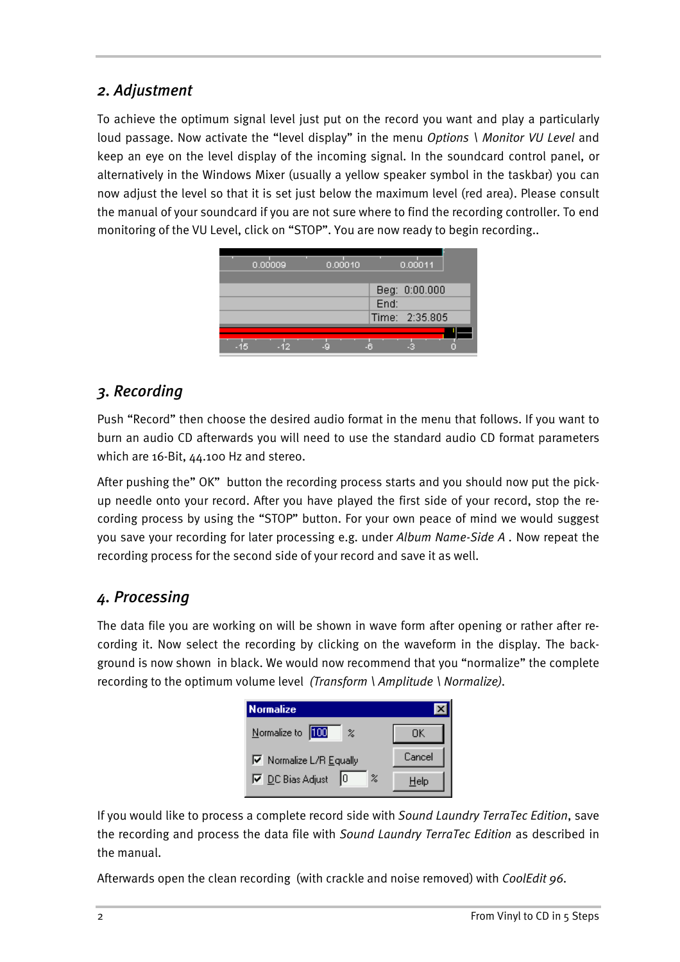#### *2. Adjustment*

To achieve the optimum signal level just put on the record you want and play a particularly loud passage. Now activate the "level display" in the menu *Options \ Monitor VU Level* and keep an eye on the level display of the incoming signal. In the soundcard control panel, or alternatively in the Windows Mixer (usually a yellow speaker symbol in the taskbar) you can now adjust the level so that it is set just below the maximum level (red area). Please consult the manual of your soundcard if you are not sure where to find the recording controller. To end monitoring of the VU Level, click on "STOP". You are now ready to begin recording..



#### *3. Recording*

Push "Record" then choose the desired audio format in the menu that follows. If you want to burn an audio CD afterwards you will need to use the standard audio CD format parameters which are 16-Bit, 44.100 Hz and stereo.

After pushing the" OK" button the recording process starts and you should now put the pickup needle onto your record. After you have played the first side of your record, stop the recording process by using the "STOP" button. For your own peace of mind we would suggest you save your recording for later processing e.g. under *Album Name-Side A .* Now repeat the recording process for the second side of your record and save it as well.

## *4. Processing*

The data file you are working on will be shown in wave form after opening or rather after recording it. Now select the recording by clicking on the waveform in the display. The background is now shown in black. We would now recommend that you "normalize" the complete recording to the optimum volume level *(Transform \ Amplitude \ Normalize).*



If you would like to process a complete record side with *Sound Laundry TerraTec Edition*, save the recording and process the data file with *Sound Laundry TerraTec Edition* as described in the manual.

Afterwards open the clean recording (with crackle and noise removed) with *CoolEdit 96.*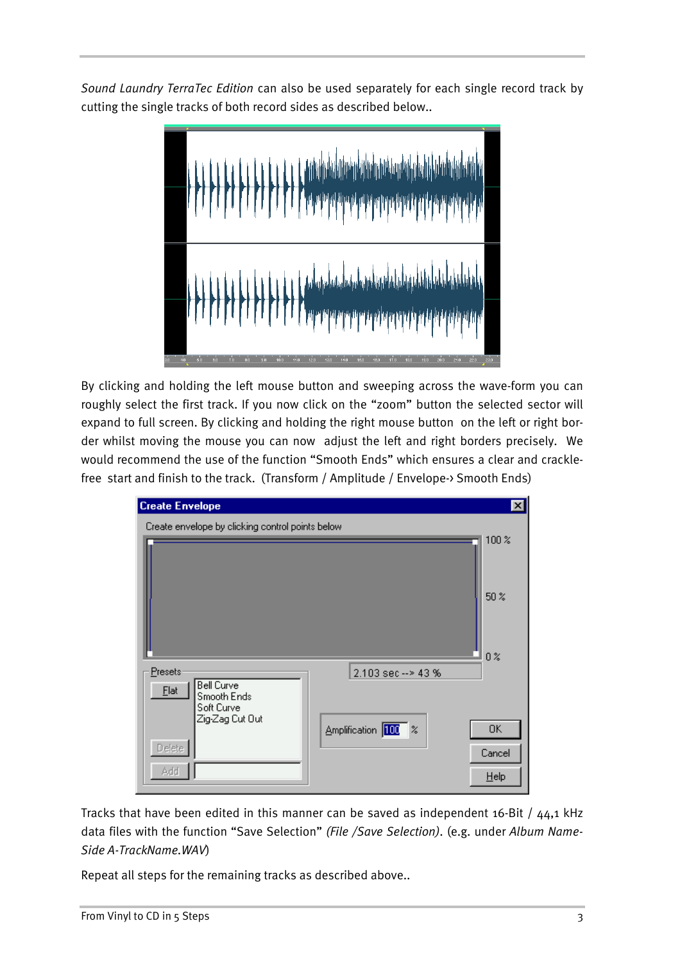*Sound Laundry TerraTec Edition* can also be used separately for each single record track by cutting the single tracks of both record sides as described below..



By clicking and holding the left mouse button and sweeping across the wave-form you can roughly select the first track. If you now click on the "zoom" button the selected sector will expand to full screen. By clicking and holding the right mouse button on the left or right border whilst moving the mouse you can now adjust the left and right borders precisely. We would recommend the use of the function "Smooth Ends" which ensures a clear and cracklefree start and finish to the track. (Transform / Amplitude / Envelope-> Smooth Ends)



Tracks that have been edited in this manner can be saved as independent  $16$ -Bit /  $44,1$  kHz data files with the function "Save Selection" *(File /Save Selection)*. (e.g. under *Album Name-Side A-TrackName.WAV*)

Repeat all steps for the remaining tracks as described above..